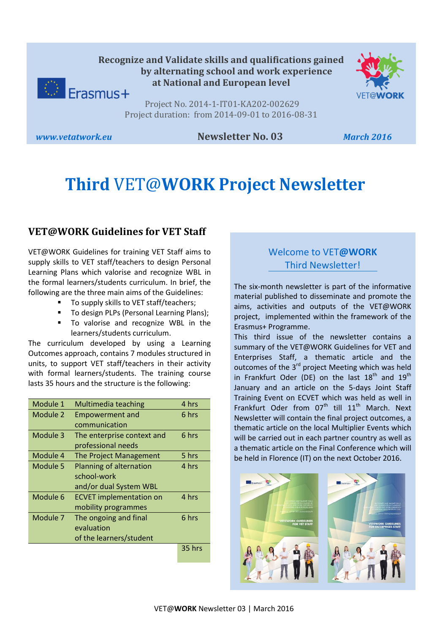

Project No. 2014-1-IT01-KA202-002629 Project duration: from 2014-09-01 to 2016-08-31

### *www.vetatwork.eu* **Newsletter No. 03** *March 2016*

# **Third** VET@**WORK Project Newsletter**

## **VET@WORK Guidelines for VET Staff**

VET@WORK Guidelines for training VET Staff aims to supply skills to VET staff/teachers to design Personal Learning Plans which valorise and recognize WBL in the formal learners/students curriculum. In brief, the following are the three main aims of the Guidelines:

- To supply skills to VET staff/teachers;
- To design PLPs (Personal Learning Plans);
- To valorise and recognize WBL in the learners/students curriculum.

The curriculum developed by using a Learning Outcomes approach, contains 7 modules structured in units, to support VET staff/teachers in their activity with formal learners/students. The training course lasts 35 hours and the structure is the following:

| Module 1 | Multimedia teaching            | 4 hrs  |
|----------|--------------------------------|--------|
| Module 2 | <b>Empowerment and</b>         | 6 hrs  |
|          | communication                  |        |
| Module 3 | The enterprise context and     | 6 hrs  |
|          | professional needs             |        |
| Module 4 | The Project Management         | 5 hrs  |
| Module 5 | Planning of alternation        | 4 hrs  |
|          | school-work                    |        |
|          | and/or dual System WBL         |        |
| Module 6 | <b>ECVET implementation on</b> | 4 hrs  |
|          | mobility programmes            |        |
| Module 7 | The ongoing and final          | 6 hrs  |
|          | evaluation                     |        |
|          | of the learners/student        |        |
|          |                                | 35 hrs |

## Welcome to VET**@WORK** Third Newsletter!

The six-month newsletter is part of the informative material published to disseminate and promote the aims, activities and outputs of the VET@WORK project, implemented within the framework of the Erasmus+ Programme.

This third issue of the newsletter contains a summary of the VET@WORK Guidelines for VET and Enterprises Staff, a thematic article and the outcomes of the 3<sup>rd</sup> project Meeting which was held in Frankfurt Oder (DE) on the last  $18<sup>th</sup>$  and  $19<sup>th</sup>$ January and an article on the 5-days Joint Staff Training Event on ECVET which was held as well in Frankfurt Oder from  $07<sup>th</sup>$  till  $11<sup>th</sup>$  March. Next Newsletter will contain the final project outcomes, a thematic article on the local Multiplier Events which will be carried out in each partner country as well as a thematic article on the Final Conference which will be held in Florence (IT) on the next October 2016.

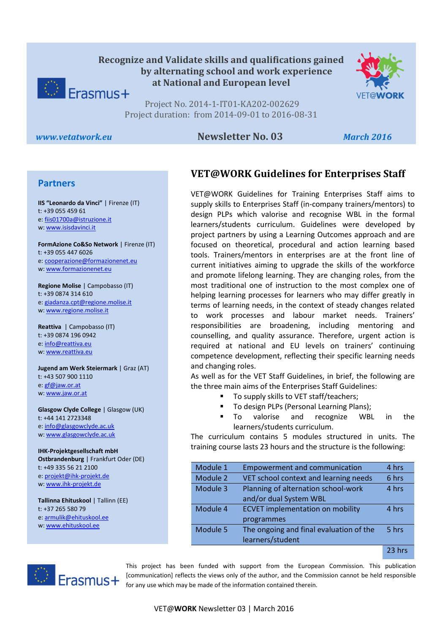



Project No. 2014-1-IT01-KA202-002629 Project duration: from 2014-09-01 to 2016-08-31

#### *www.vetatwork.eu* **Newsletter No. 03** *March 2016*

#### **Partners**

w[: www.isisdavinci.it](http://www.isisdavinci.it/) **IIS "Leonardo da Vinci"** | Firenze (IT) t: +39 055 459 61 e[: fiis01700a@istruzione.it](mailto:fiis01700a@istruzione.it)

**FormAzione Co&So Network** | Firenze (IT) t: +39 055 447 6026 e[: cooperazione@formazionenet.eu](mailto:cooperazione@formazionenet.eu) w[: www.formazionenet.eu](http://www.formazionenet.eu/)

**Regione Molise** | Campobasso (IT) t: +39 0874 314 610 e[: giadanza.cpt@regione.molise.it](mailto:giadanza.cpt@regione.molise.it) w[: www.regione.molise.it](http://www.regione.molise.it/)

**Reattiva** | Campobasso (IT) t: +39 0874 196 0942 e[: info@reattiva.eu](mailto:info@reattiva.eu) w[: www.reattiva.eu](http://www.reattiva.eu/)

**Jugend am Werk Steiermark** | Graz (AT) t: +43 507 900 1110 e[: gf@jaw.or.at](mailto:gf@jaw.or.at) w[: www.jaw.or.at](http://www.jaw.or.at/)

**Glasgow Clyde College** | Glasgow (UK) t: +44 141 2723348 e[: info@glasgowclyde.ac.uk](mailto:info@glasgowclyde.ac.uk) w[: www.glasgowclyde.ac.uk](http://www.glasgowclyde.ac.uk/) 

**IHK-Projektgesellschaft mbH Ostbrandenburg** | Frankfurt Oder (DE) t: +49 335 56 21 2100 e[: projekt@ihk-projekt.de](mailto:projekt@ihk-projekt.de) w[: www.ihk-projekt.de](http://www.ihk-projekt.de/)

**Tallinna Ehituskool** | Tallinn (EE) t: +37 265 580 79 e[: armulik@ehituskool.ee](mailto:armulik@ehituskool.ee) w[: www.ehituskool.ee](http://www.ehituskool.ee/)

## **VET@WORK Guidelines for Enterprises Staff**

VET@WORK Guidelines for Training Enterprises Staff aims to supply skills to Enterprises Staff (in-company trainers/mentors) to design PLPs which valorise and recognise WBL in the formal learners/students curriculum. Guidelines were developed by project partners by using a Learning Outcomes approach and are focused on theoretical, procedural and action learning based tools. Trainers/mentors in enterprises are at the front line of current initiatives aiming to upgrade the skills of the workforce and promote lifelong learning. They are changing roles, from the most traditional one of instruction to the most complex one of helping learning processes for learners who may differ greatly in terms of learning needs, in the context of steady changes related to work processes and labour market needs. Trainers' responsibilities are broadening, including mentoring and counselling, and quality assurance. Therefore, urgent action is required at national and EU levels on trainers' continuing competence development, reflecting their specific learning needs and changing roles.

As well as for the VET Staff Guidelines, in brief, the following are the three main aims of the Enterprises Staff Guidelines:

- To supply skills to VET staff/teachers;
- **To design PLPs (Personal Learning Plans);**
- To valorise and recognize WBL in the learners/students curriculum.

The curriculum contains 5 modules structured in units. The training course lasts 23 hours and the structure is the following:

| Module 1 | <b>Empowerment and communication</b>    | 4 hrs  |
|----------|-----------------------------------------|--------|
| Module 2 | VET school context and learning needs   | 6 hrs  |
| Module 3 | Planning of alternation school-work     | 4 hrs  |
|          | and/or dual System WBL                  |        |
| Module 4 | <b>ECVET</b> implementation on mobility | 4 hrs  |
|          | programmes                              |        |
| Module 5 | The ongoing and final evaluation of the | 5 hrs  |
|          | learners/student                        |        |
|          |                                         | 23 hrs |



This project has been funded with support from the European Commission. This publication [communication] reflects the views only of the author, and the Commission cannot be held responsible for any use which may be made of the information contained therein.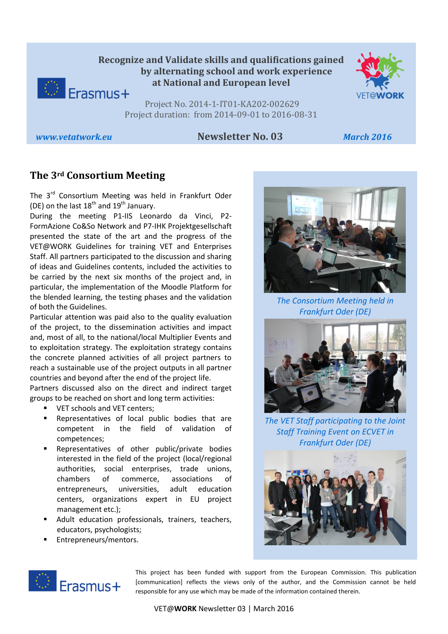



Project No. 2014-1-IT01-KA202-002629 Project duration: from 2014-09-01 to 2016-08-31

#### *www.vetatwork.eu* **Newsletter No. 03** *March 2016*

## **The 3rd Consortium Meeting**

The 3<sup>rd</sup> Consortium Meeting was held in Frankfurt Oder (DE) on the last  $18<sup>th</sup>$  and  $19<sup>th</sup>$  January.

During the meeting P1-IIS Leonardo da Vinci, P2- FormAzione Co&So Network and P7-IHK Projektgesellschaft presented the state of the art and the progress of the VET@WORK Guidelines for training VET and Enterprises Staff. All partners participated to the discussion and sharing of ideas and Guidelines contents, included the activities to be carried by the next six months of the project and, in particular, the implementation of the Moodle Platform for the blended learning, the testing phases and the validation of both the Guidelines.

Particular attention was paid also to the quality evaluation of the project, to the dissemination activities and impact and, most of all, to the national/local Multiplier Events and to exploitation strategy. The exploitation strategy contains the concrete planned activities of all project partners to reach a sustainable use of the project outputs in all partner countries and beyond after the end of the project life.

Partners discussed also on the direct and indirect target groups to be reached on short and long term activities:

- **VET schools and VET centers;**
- Representatives of local public bodies that are competent in the field of validation of competences;
- **Representatives of other public/private bodies** interested in the field of the project (local/regional authorities, social enterprises, trade unions, chambers of commerce, associations of entrepreneurs, universities, adult education centers, organizations expert in EU project management etc.);
- Adult education professionals, trainers, teachers, educators, psychologists;
- Entrepreneurs/mentors.



*The Consortium Meeting held in Frankfurt Oder (DE)*



*The VET Staff participating to the Joint Staff Training Event on ECVET in Frankfurt Oder (DE)* 





This project has been funded with support from the European Commission. This publication [communication] reflects the views only of the author, and the Commission cannot be held responsible for any use which may be made of the information contained therein.